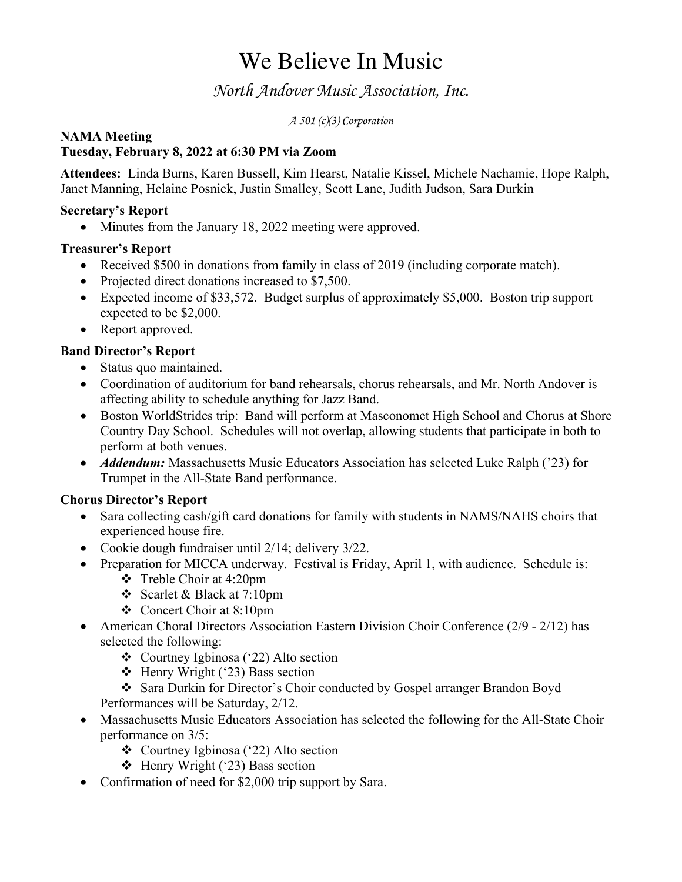# We Believe In Music

### *North Andover Music Association, Inc.*

*A 501 (c)(3) Corporation*

#### **NAMA Meeting**

#### **Tuesday, February 8, 2022 at 6:30 PM via Zoom**

**Attendees:** Linda Burns, Karen Bussell, Kim Hearst, Natalie Kissel, Michele Nachamie, Hope Ralph, Janet Manning, Helaine Posnick, Justin Smalley, Scott Lane, Judith Judson, Sara Durkin

#### **Secretary's Report**

• Minutes from the January 18, 2022 meeting were approved.

#### **Treasurer's Report**

- Received \$500 in donations from family in class of 2019 (including corporate match).
- Projected direct donations increased to \$7,500.
- Expected income of \$33,572. Budget surplus of approximately \$5,000. Boston trip support expected to be \$2,000.
- Report approved.

#### **Band Director's Report**

- Status quo maintained.
- Coordination of auditorium for band rehearsals, chorus rehearsals, and Mr. North Andover is affecting ability to schedule anything for Jazz Band.
- Boston WorldStrides trip: Band will perform at Masconomet High School and Chorus at Shore Country Day School. Schedules will not overlap, allowing students that participate in both to perform at both venues.
- *Addendum:* Massachusetts Music Educators Association has selected Luke Ralph ('23) for Trumpet in the All-State Band performance.

#### **Chorus Director's Report**

- Sara collecting cash/gift card donations for family with students in NAMS/NAHS choirs that experienced house fire.
- Cookie dough fundraiser until 2/14; delivery 3/22.
- Preparation for MICCA underway. Festival is Friday, April 1, with audience. Schedule is:
	- $\div$  Treble Choir at 4:20pm
	- v Scarlet & Black at 7:10pm
	- Concert Choir at 8:10pm
- American Choral Directors Association Eastern Division Choir Conference (2/9 2/12) has selected the following:
	- Courtney Igbinosa ('22) Alto section
	- $\div$  Henry Wright ('23) Bass section
	- v Sara Durkin for Director's Choir conducted by Gospel arranger Brandon Boyd Performances will be Saturday, 2/12.
- Massachusetts Music Educators Association has selected the following for the All-State Choir performance on 3/5:
	- Courtney Igbinosa ('22) Alto section
	- $\div$  Henry Wright ('23) Bass section
- Confirmation of need for \$2,000 trip support by Sara.